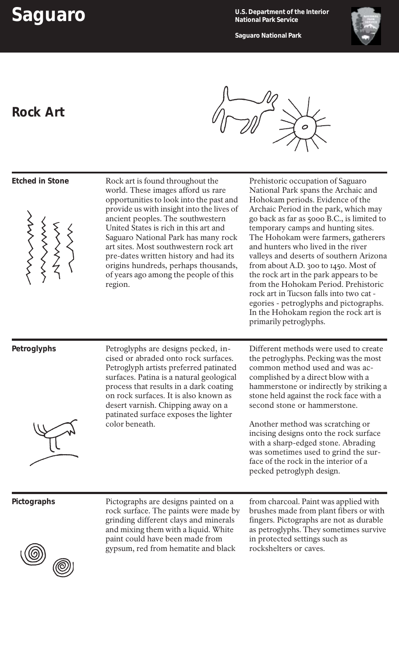**Saguaro U.S. Department of the Interior National Park Service**

**Rock Art**

**Saguaro National Park**





| <b>Etched in Stone</b> | Rock art is found throughout the<br>world. These images afford us rare<br>opportunities to look into the past and<br>provide us with insight into the lives of<br>ancient peoples. The southwestern<br>United States is rich in this art and<br>Saguaro National Park has many rock<br>art sites. Most southwestern rock art<br>pre-dates written history and had its<br>origins hundreds, perhaps thousands,<br>of years ago among the people of this<br>region. | Prehistoric occupation of Saguaro<br>National Park spans the Archaic and<br>Hohokam periods. Evidence of the<br>Archaic Period in the park, which may<br>go back as far as 5000 B.C., is limited to<br>temporary camps and hunting sites.<br>The Hohokam were farmers, gatherers<br>and hunters who lived in the river<br>valleys and deserts of southern Arizona<br>from about A.D. 300 to 1450. Most of<br>the rock art in the park appears to be<br>from the Hohokam Period. Prehistoric<br>rock art in Tucson falls into two cat -<br>egories - petroglyphs and pictographs.<br>In the Hohokam region the rock art is<br>primarily petroglyphs. |
|------------------------|-------------------------------------------------------------------------------------------------------------------------------------------------------------------------------------------------------------------------------------------------------------------------------------------------------------------------------------------------------------------------------------------------------------------------------------------------------------------|-----------------------------------------------------------------------------------------------------------------------------------------------------------------------------------------------------------------------------------------------------------------------------------------------------------------------------------------------------------------------------------------------------------------------------------------------------------------------------------------------------------------------------------------------------------------------------------------------------------------------------------------------------|
| Petroglyphs            | Petroglyphs are designs pecked, in-<br>cised or abraded onto rock surfaces.<br>Petroglyph artists preferred patinated<br>surfaces. Patina is a natural geological<br>process that results in a dark coating<br>on rock surfaces. It is also known as<br>desert varnish. Chipping away on a<br>patinated surface exposes the lighter<br>color beneath.                                                                                                             | Different methods were used to create<br>the petroglyphs. Pecking was the most<br>common method used and was ac-<br>complished by a direct blow with a<br>hammerstone or indirectly by striking a<br>stone held against the rock face with a<br>second stone or hammerstone.<br>Another method was scratching or<br>incising designs onto the rock surface<br>with a sharp-edged stone. Abrading<br>was sometimes used to grind the sur-<br>face of the rock in the interior of a<br>pecked petroglyph design.                                                                                                                                      |
| Pictographs            | Pictographs are designs painted on a<br>rock surface. The paints were made by<br>grinding different clays and minerals<br>and mixing them with a liquid. White<br>paint could have been made from<br>gypsum, red from hematite and black                                                                                                                                                                                                                          | from charcoal. Paint was applied with<br>brushes made from plant fibers or with<br>fingers. Pictographs are not as durable<br>as petroglyphs. They sometimes survive<br>in protected settings such as<br>rockshelters or caves.                                                                                                                                                                                                                                                                                                                                                                                                                     |